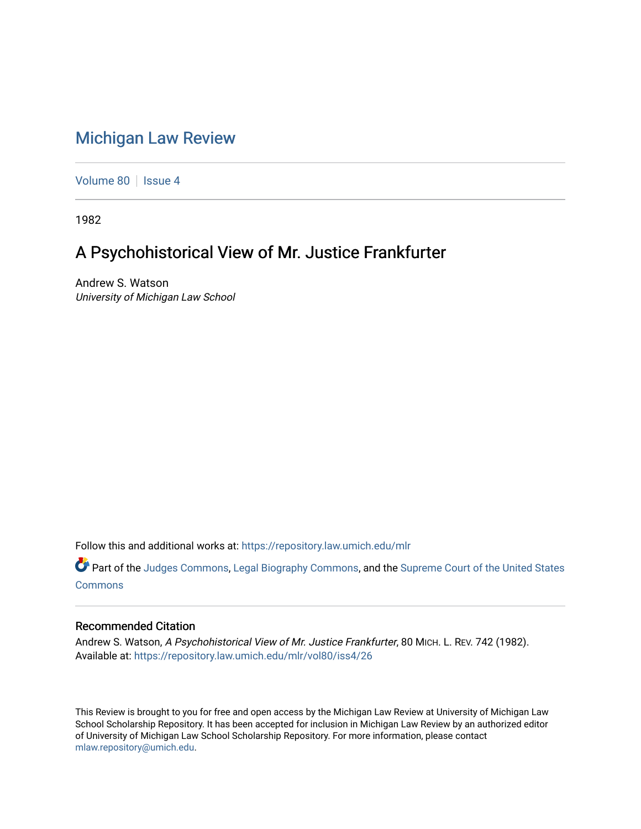## [Michigan Law Review](https://repository.law.umich.edu/mlr)

[Volume 80](https://repository.law.umich.edu/mlr/vol80) | [Issue 4](https://repository.law.umich.edu/mlr/vol80/iss4)

1982

# A Psychohistorical View of Mr. Justice Frankfurter

Andrew S. Watson University of Michigan Law School

Follow this and additional works at: [https://repository.law.umich.edu/mlr](https://repository.law.umich.edu/mlr?utm_source=repository.law.umich.edu%2Fmlr%2Fvol80%2Fiss4%2F26&utm_medium=PDF&utm_campaign=PDFCoverPages) 

Part of the [Judges Commons,](http://network.bepress.com/hgg/discipline/849?utm_source=repository.law.umich.edu%2Fmlr%2Fvol80%2Fiss4%2F26&utm_medium=PDF&utm_campaign=PDFCoverPages) [Legal Biography Commons,](http://network.bepress.com/hgg/discipline/834?utm_source=repository.law.umich.edu%2Fmlr%2Fvol80%2Fiss4%2F26&utm_medium=PDF&utm_campaign=PDFCoverPages) and the Supreme Court of the United States [Commons](http://network.bepress.com/hgg/discipline/1350?utm_source=repository.law.umich.edu%2Fmlr%2Fvol80%2Fiss4%2F26&utm_medium=PDF&utm_campaign=PDFCoverPages)

### Recommended Citation

Andrew S. Watson, A Psychohistorical View of Mr. Justice Frankfurter, 80 MICH. L. REV. 742 (1982). Available at: [https://repository.law.umich.edu/mlr/vol80/iss4/26](https://repository.law.umich.edu/mlr/vol80/iss4/26?utm_source=repository.law.umich.edu%2Fmlr%2Fvol80%2Fiss4%2F26&utm_medium=PDF&utm_campaign=PDFCoverPages) 

This Review is brought to you for free and open access by the Michigan Law Review at University of Michigan Law School Scholarship Repository. It has been accepted for inclusion in Michigan Law Review by an authorized editor of University of Michigan Law School Scholarship Repository. For more information, please contact [mlaw.repository@umich.edu.](mailto:mlaw.repository@umich.edu)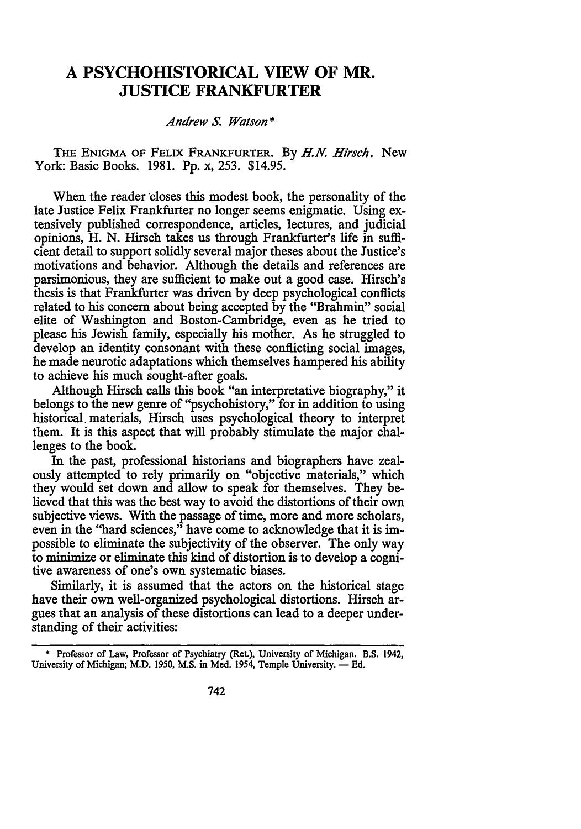## **A PSYCHOHISTORICAL VIEW OF MR. JUSTICE FRANKFURTER**

### *Andrew* S. *Watson\**

THE ENIGMA OF FELIX FRANKFURTER. By *H.N. Hirsch.* New York: Basic Books. 1981. Pp. x, 253. \$14.95.

When the reader closes this modest book, the personality of the late Justice Felix Frankfurter no longer seems enigmatic. Using extensively published correspondence, articles, lectures, and judicial opinions, H. N. Hirsch takes us through Frankfurter's life in sufficient detail to support solidly several major theses about the Justice's motivations and behavior. Although the details and references are parsimonious, they are sufficient to make out a good case. Hirsch's thesis is that Frankfurter was driven by deep psychological conflicts related to his concern about being accepted by the "Brahmin" social elite of Washington and Boston-Cambridge, even as he tried to please his Jewish family, especially his mother. As he struggled to develop an identity consonant with these conflicting social images, he made neurotic adaptations which themselves hampered his ability to achieve his much sought-after goals.

Although Hirsch calls this book "an interpretative biography," it belongs to the new genre of "psychohistory," for in addition to using historical. materials, Hirsch uses psychological theory to interpret them. It is this aspect that will probably stimulate the major challenges to the book.

In the past, professional historians and biographers have zealously attempted to rely primarily on "objective materials," which they would set down and allow to speak for themselves. They believed that this was the best way to avoid the distortions of their own subjective views. With the passage of time, more and more scholars, even in the "hard sciences," have come to acknowledge that it is impossible to eliminate the subjectivity of the observer. The only way to minimize or eliminate this kind of distortion is to develop a cognitive awareness of one's own systematic biases.

Similarly, it is assumed that the actors on the historical stage have their own well-organized psychological distortions. Hirsch argues that an analysis of these distortions can lead to a deeper understanding of their activities:

<sup>•</sup> Professor of Law, Professor of Psychiatry (Ret.), University of Michigan. B.S. 1942, University of Michigan; M.D. 1950, M.S. in Med. 1954, Temple University. - Ed.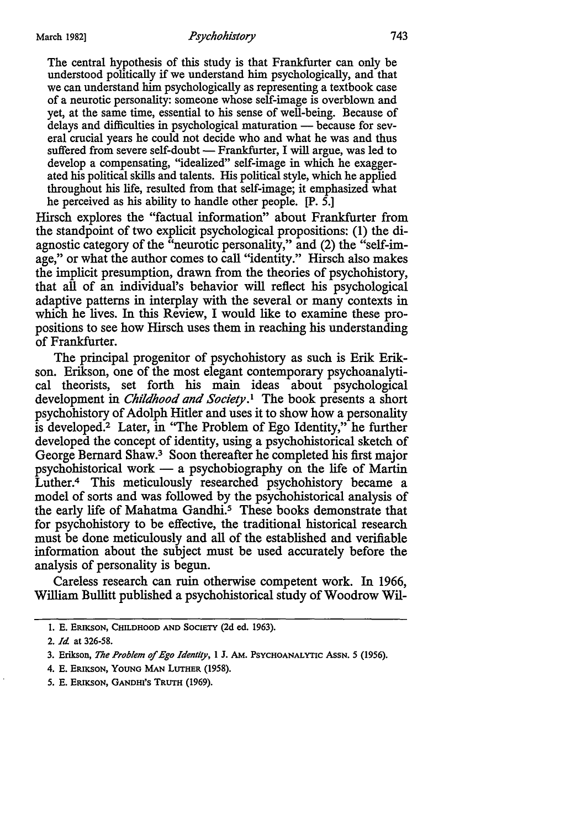The central hypothesis of this study is that Frankfurter can only be understood politically if we understand him psychologically, and that we can understand him psychologically as representing a textbook case of a neurotic personality: someone whose self-image is overblown and yet, at the same time, essential to his sense of well-being. Because of delays and difficulties in psychological maturation - because for several crucial years he could not decide who and what he was and thus suffered from severe self-doubt - Frankfurter, I will argue, was led to develop a compensating, "idealized" self-image in which he exaggerated his political skills and talents. His political style, which he applied throughout his life, resulted from that self-image; it emphasized what he perceived as his ability to handle other people. [P. 5.]

Hirsch explores the "factual information" about Frankfurter from the standpoint of two explicit psychological propositions: (1) the diagnostic category of the "neurotic personality," and (2) the "self-image," or what the author comes to call "identity." Hirsch also makes the implicit presumption, drawn from the theories of psychohistory, that all of an individual's behavior will reflect his psychological adaptive patterns in interplay with the several or many contexts in which he lives. In this Review, I would like to examine these propositions to see how Hirsch uses them in reaching his understanding of Frankfurter.

The principal progenitor of psychohistory as such is Erik Erikson. Erikson, one of the most elegant contemporary psychoanalytical theorists, set forth his main ideas about psychological development in *Childhood and Society* .1 The book presents a short psychohistory of Adolph Hitler and uses it to show how a personality is developed.2 Later, in "The Problem of Ego Identity," he further developed the concept of identity, using a psychohistorical sketch of George Bernard Shaw. 3 Soon thereafter he completed his first major psychohistorical work  $-$  a psychobiography on the life of Martin Luther.<sup>4</sup> This meticulously researched psychohistory became a model of sorts and was followed by the psychohistorical analysis of the early life of Mahatma Gandhi.<sup>5</sup> These books demonstrate that for psychohistory to be effective, the traditional historical research must be done meticulously and all of the established and verifiable information about the subject must be used accurately before the analysis of personality is begun.

Careless research can ruin otherwise competent work. In 1966, William Bullitt published a psychohistorical study of Woodrow Wil-

- 4. E. ERIKSON, YOUNG MAN LUTHER (1958).
- *5.* E. ERIKSON, GANDHI'S TRUTH (1969).

<sup>1.</sup> E. ERIKSON, CHILDHOOD AND SOCIETY (2d ed. 1963).

<sup>2.</sup> *Id* at 326-58.

<sup>3.</sup> Erikson, *The Problem of Ego Identity,* 1 J. AM. PSYCHOANALYTIC AsSN. *5* (1956).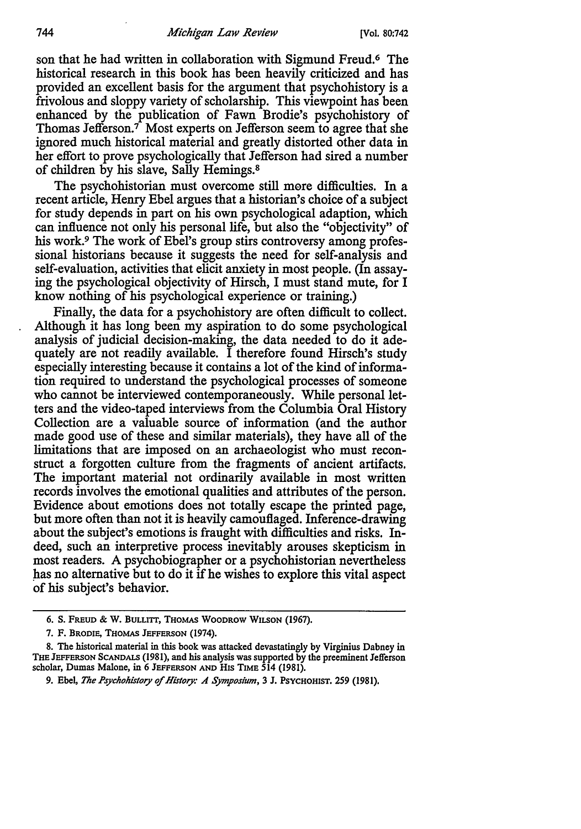#### 744 *Michigan Law Review* [Vol. 80:742

son that he had written in collaboration with Sigmund Freud.<sup>6</sup> The historical research in this book has been heavily criticized and has provided an excellent basis for the argument that psychohistory is a frivolous and sloppy variety of scholarship. This viewpoint has been enhanced by the publication of Fawn Brodie's psychohistory of Thomas Jefferson.7 Most experts on Jefferson seem to agree that she ignored much historical material and greatly distorted other data in her effort to prove psychologically that Jefferson had sired a number of children by his slave, Sally Hemings.<sup>8</sup>

The psychohistorian must overcome still mere difficulties. In a recent article, Henry Ebel argues that a historian's choice of a subject for study depends in part on his own psychological adaption, which can influence not only his personal life, but also the "objectivity" of his work.<sup>9</sup> The work of Ebel's group stirs controversy among professional historians because it suggests the need for self-analysis and self-evaluation, activities that elicit anxiety in most people. (In assaying the psychological objectivity of Hirsch, I must stand mute, for I know nothing of his psychological experience or training.)

Finally, the data for a psychohistory are often difficult to collect. Although it has long been my aspiration to do some psychological analysis of judicial decision-making, the data needed to do it adequately are not readily available. I therefore found Hirsch's study especially interesting because it contains a lot of the kind of information required to understand the psychological processes of someone who cannot be interviewed contemporaneously. While personal letters and the video-taped interviews from the Columbia Oral History Collection are a valuable source of information (and the author made good use of these and similar materials), they have all of the limitations that are imposed on an archaeologist who must reconstruct a forgotten culture from the fragments of ancient artifacts. The important material not ordinarily available in most written records involves the emotional qualities and attributes of the person. Evidence about emotions does not totally escape the printed page, but more often than not it is heavily camouflaged. Inference-drawing about the subject's emotions is fraught with difficulties and risks. Indeed, such an interpretive process inevitably arouses skepticism in most readers. A psychobiographer or a psychohistorian nevertheless has no alternative but to do it if he wishes to explore this vital aspect of his subject's behavior.

<sup>6,</sup> S. FREUD & W. BULLITI, THOMAS WOODROW WILSON (1967),

<sup>7.</sup> F. BRODIE, THOMAS JEFFERSON (1974).

<sup>8.</sup> The historical material in this book was attacked devastatingly by Virginius Dabney in THE JEFFERSON SCANDALS (1981), and his analysis was supported by the preeminent Jefferson scholar, Dumas Malone, in 6 JEFFERSON AND HIS TIME 514 (1981).

<sup>9.</sup> Ebel, *The Psychohistory of History: A Symposium,* 3 J. PSYCHOHIST. 259 (1981),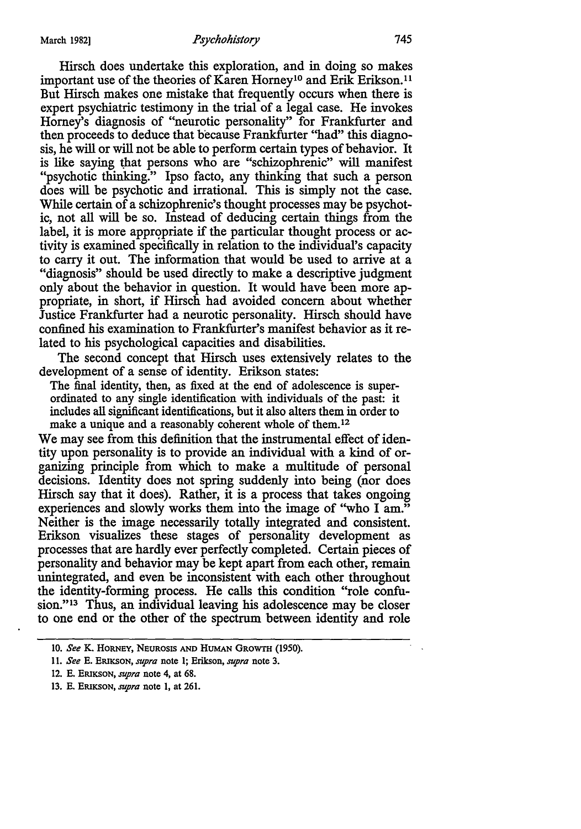Hirsch does undertake this exploration, and in doing so makes important use of the theories of Karen Horney<sup>10</sup> and Erik Erikson.<sup>11</sup> But Hirsch makes one mistake that frequently occurs when there is expert psychiatric testimony in the trial of a legal case. He invokes Horney's diagnosis of "neurotic personality" for Frankfurter and then proceeds to deduce that because Frankfurter "had" this diagnosis, he will or will not be able to perform certain types of behavior. It is like saying that persons who are "schizophrenic" will manifest "psychotic thinking." Ipso facto, any thinking that such a person does will be psychotic and irrational. This is simply not the case. While certain of a schizophrenic's thought processes may be psychotic, not all will be so. Instead of deducing certain things from the label, it is more appropriate if the particular thought process or activity is examined specifically in relation to the individual's capacity to carry it out. The information that would be used to arrive at a "diagnosis" should be used directly to make a descriptive judgment only about the behavior in question. It would have been more appropriate, in short, if Hirsch had avoided concern about whether Justice Frankfurter had a neurotic personality. Hirsch should have confined his examination to Frankfurter's manifest behavior as it related to his psychological capacities and disabilities.

The second concept that Hirsch uses extensively relates to the development of a sense of identity. Erikson states:

The final identity, then, as fixed at the end of adolescence is superordinated to any single identification with individuals of the past: it includes all significant identifications, but it also alters them in order to make a unique and a reasonably coherent whole of them.<sup>12</sup>

We may see from this definition that the instrumental effect of identity upon personality is to provide an individual with a kind of organizing principle from which to make a multitude of personal decisions. Identity does not spring suddenly into being (nor does Hirsch say that it does). Rather, it is a process that takes ongoing experiences and slowly works them into the image of ''who I am." Neither is the image necessarily totally integrated and consistent. Erikson visualizes these stages of personality development as processes that are hardly ever perfectly completed. Certain pieces of personality and behavior may be kept apart from each other, remain unintegrated, and even be inconsistent with each other throughout the identity-forming process. He calls this condition "role confusion."13 Thus, an individual leaving his adolescence may be closer to one end or the other of the spectrum between identity and role

<sup>10.</sup> *See* K. HORNEY, NEUROSIS AND HUMAN GROWTH (1950).

<sup>11.</sup> *See* E. ERIKSON, *supra* note l; Erikson, *supra* note 3.

<sup>12.</sup> E. ERIKSON, *supra* note 4, at 68.

<sup>13.</sup> E. ERIKSON, *supra* note 1, at 261.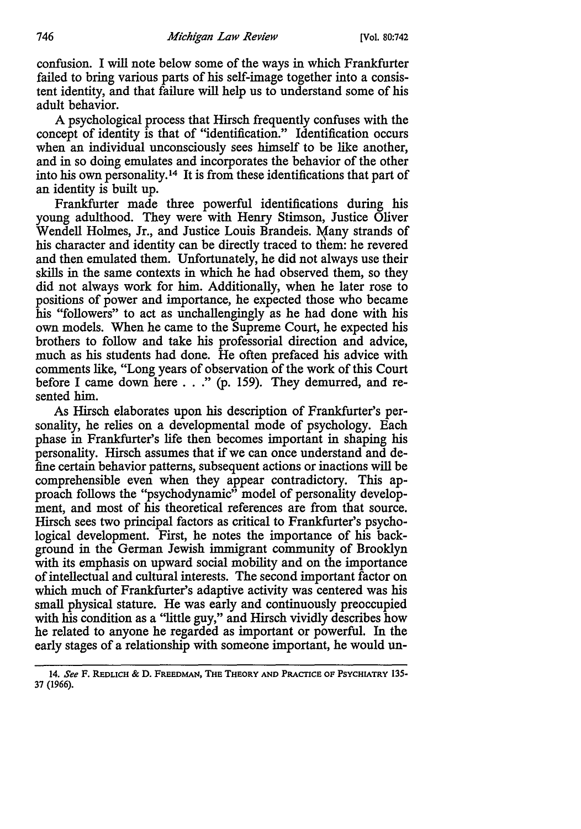confusion. I will note below some of the ways in which Frankfurter failed to bring various parts of his self-image together into a consistent identity, and that failure will help us to understand some of his adult behavior.

A psychological process that Hirsch frequently confuses with the concept of identity is that of "identification." Identification occurs when an individual unconsciously sees himself to be like another, and in so doing emulates and incorporates the behavior of the other into his own personality. 14 It is from these identifications that part of an identity is built up.

Frankfurter made three powerful identifications during his young adulthood. They were with Henry Stimson, Justice Oliver Wendell Holmes, Jr., and Justice Louis Brandeis. Many strands of his character and identity can be directly traced to them: he revered and then emulated them. Unfortunately, he did not always use their skills in the same contexts in which he had observed them, so they did not always work for him. Additionally, when he later rose to positions of power and importance, he expected those who became his "followers" to act as unchallengingly as he had done with his own models. When he came to the Supreme Court, he expected his brothers to follow and take his professorial direction and advice, much as his students had done. He often prefaced his advice with comments like, "Long years of observation of the work of this Court before I came down here . . ." (p. 159). They demurred, and resented him.

As Hirsch elaborates upon his description of Frankfurter's personality, he relies on a developmental mode of psychology. Each phase in Frankfurter's life then becomes important in shaping his personality. Hirsch assumes that if we can once understand and define certain behavior patterns, subsequent actions or inactions will be comprehensible even when they appear contradictory. This approach follows the "psychodynamic" model of personality development, and most of his theoretical references are from that source. Hirsch sees two principal factors as critical to Frankfurter's psychological development. First, he notes the importance of his background in the German Jewish immigrant community of Brooklyn with its emphasis on upward social mobility and on the importance of intellectual and cultural interests. The second important factor on which much of Frankfurter's adaptive activity was centered was his small physical stature. He was early and continuously preoccupied with his condition as a "little guy," and Hirsch vividly describes how he related to anyone he regarded as important or powerful. In the early stages of a relationship with someone important, he would un-

<sup>14.</sup> *See* F. REDLICH & D. FREEDMAN, THE THEORY AND PRACTICE OF PSYCHIATRY 135- 37 (1966).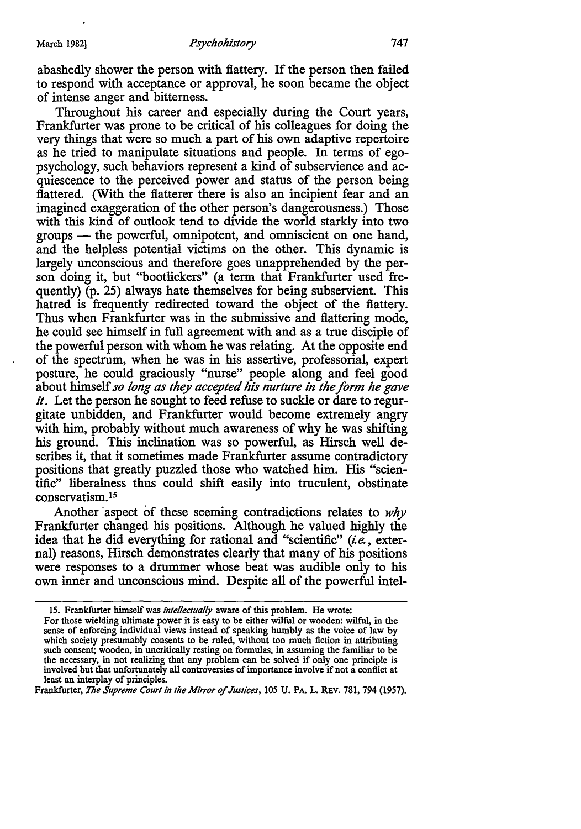abashedly shower the person with flattery. If the person then failed to respond with acceptance or approval, he soon became the object of intense anger and bitterness.

Throughout his career and especially during the Court years, Frankfurter was prone to be critical of his colleagues for doing the very things that were so much a part of his own adaptive repertoire as he tried to manipulate situations and people. In terms of egopsychology, such behaviors represent a kind of subservience and acquiescence to the perceived power and status of the person being flattered. (With the flatterer there is also an incipient fear and an imagined exaggeration of the other person's dangerousness.) Those with this kind of outlook tend to divide the world starkly into two groups — the powerful, omnipotent, and omniscient on one hand, and the helpless potential victims on the other. This dynamic is largely unconscious and therefore goes unapprehended by the person doing it, but "bootlickers" (a term that Frankfurter used frequently) (p. 25) always hate themselves for being subservient. This hatred is frequently redirected toward the object of the flattery. Thus when Frankfurter was in the submissive and flattering mode, he could see himself in full agreement with and as a true disciple of the powerful person with whom he was relating. At the opposite end of the spectrum, when he was in his assertive, professorial, expert posture, he could graciously "nurse" people along and feel good about himself *so long as they accepted his nurture in the form he gave it.* Let the person he sought to feed refuse to suckle or dare to regurgitate unbidden, and Frankfurter would become extremely angry with him, probably without much awareness of why he was shifting his ground. This inclination was so powerful, as Hirsch well describes it, that it sometimes made Frankfurter assume contradictory positions that greatly puzzled those who watched him. His "scientific" liberalness thus could shift easily into truculent, obstinate conservatism. <sup>15</sup>

Another aspect of these seeming contradictions relates to *why* Frankfurter changed his positions. Although he valued highly the idea that he did everything for rational and "scientific" (i.e., external) reasons, Hirsch demonstrates clearly that many of his positions were responses to a drummer whose beat was audible only to his own inner and unconscious mind. Despite all of the powerful intel-

Frankfurter, *The Supreme Court in the Mirror of Justices*, 105 U. PA. L. REV. 781, 794 (1957).

<sup>15.</sup> Frankfurter himself was *intellectually* aware of this problem. He wrote: For those wielding ultimate power it is easy to be either wilful or wooden: wilful, in the sense of enforcing individual views instead of speaking humbly as the voice of law by which society presumably consents to be ruled, without too much fiction in attributing such consent; wooden, in uncritically resting on formulas, in assuming the familiar to be the necessary, in not realizing that any problem can be solved if only one principle is involved but that unfortunately all controversies of importance involve if not a conflict at least an interplay of principles.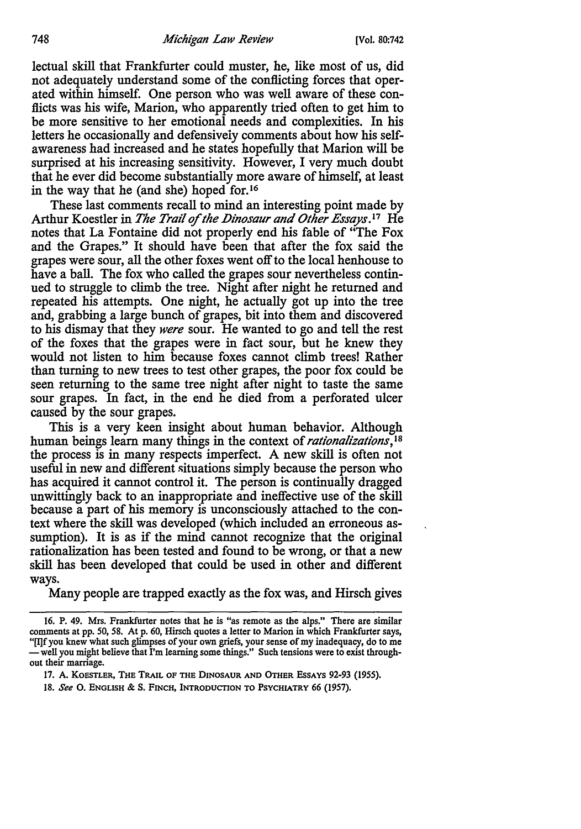lectual skill that Frankfurter could muster, he, like most of us, did not adequately understand some of the conflicting forces that operated within himself. One person who was well aware of these conflicts was his wife, Marion, who apparently tried often to get him to be more sensitive to her emotional needs and complexities. In his letters he occasionally and defensiveiy comments about how his selfawareness had increased and he states hopefully that Marion will be surprised at his increasing sensitivity. However, I very much doubt that he ever did become substantially more aware of himself, at least in the way that he (and she) hoped for.<sup>16</sup>

These last comments recall to mind an interesting point made by Arthur Koestler in *The Trail of the Dinosaur and Other Essays*.<sup>17</sup> He notes that La Fontaine did not properly end his fable of "The Fox and the Grapes." It should have been that after the fox said the grapes were sour, all the other foxes went off to the local henhouse to have a ball. The fox who called the grapes sour nevertheless continued to struggle to climb the tree. Night after night he returned and repeated his attempts. One night, he actually got up into the tree and, grabbing a large bunch of grapes, bit into them and discovered to his dismay that they *were* sour. He wanted to go and tell the rest of the foxes that the grapes were in fact sour, but he knew they would not listen to him because foxes cannot climb trees! Rather than turning to new trees to test other grapes, the poor fox could be seen returning to the same tree night after night to taste the same sour grapes. In fact, in the end he died from a perforated ulcer caused by the sour grapes.

This is a very keen insight about human behavior. Although human beings learn many things in the context of *rationalizations,* <sup>18</sup> the process is in many respects imperfect. A new skill is often not useful in new and different situations simply because the person who has acquired it cannot control it. The person is continually dragged unwittingly back to an inappropriate and ineffective use of the skill because a part of his memory is unconsciously attached to the context where the skill was developed (which included an erroneous assumption). It is as if the mind cannot recognize that the original rationalization has been tested and found to be wrong, or that a new skill has been developed that could be used in other and different ways.

Many people are trapped exactly as the fox was, and Hirsch gives

17. A. KOESTLER, THE TRAIL OF THE DINOSAUR AND OTHER EsSAYS 92-93 (1955).

18. See O. English & S. Finch, Introduction to Psychiatry 66 (1957).

<sup>16.</sup> P. 49. Mrs. Frankfurter notes that he is "as remote as the alps." There are similar comments at pp. 50, 58. At p. 60, Hirsch quotes a letter to Marion in which Frankfurter says, "[I]f you knew what such glimpses of your own griefs, your sense of my inadequacy, do to me<br>— well you might believe that I'm learning some things." Such tensions were to exist throughout their marriage.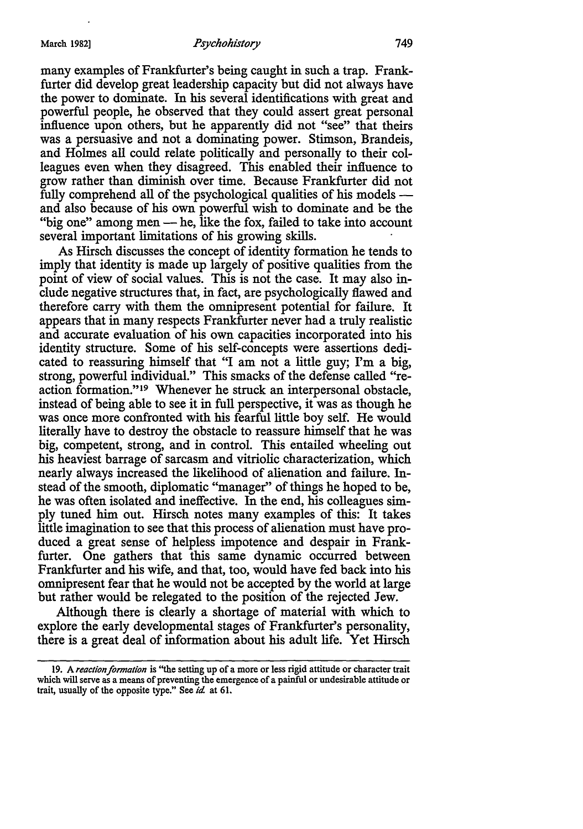many examples of Frankfurter's being caught in such a trap. Frankfurter did develop great leadership capacity but did not always have the power to dominate. In his several identifications with great and powerful people, he observed that they could assert great personal influence upon others, but he apparently did not "see" that theirs was a persuasive and not a dominating power. Stimson, Brandeis, and Holmes all could relate politically and personally to their colleagues even when they disagreed. This enabled their influence to grow rather than diminish over time. Because Frankfurter did not fully comprehend all of the psychological qualities of his models and also because of his own powerful wish to dominate and be the "big one" among men - he, like the fox, failed to take into account several important limitations of his growing skills.

As Hirsch discusses the concept of identity formation he tends to imply that identity is made up largely of positive qualities from the point of view of social values. This is not the case. It may also include negative structures that, in fact, are psychologically flawed and therefore carry with them the omnipresent potential for failure. It appears that in many respects Frankfurter never had a truly realistic and accurate evaluation of his own capacities incorporated into his identity structure. Some of his self-concepts were assertions dedicated to reassuring himself that "I am not a little guy; I'm a big, strong, powerful individual." This smacks of the defense called "reaction formation." 19 Whenever he struck an interpersonal obstacle, instead of being able to see it in full perspective, it was as though he was once more confronted with his fearful little boy self. He would literally have to destroy the obstacle to reassure himself that he was big, competent, strong, and in control. This entailed wheeling out his heaviest barrage of sarcasm and vitriolic characterization, which nearly always increased the likelihood of alienation and failure. Instead of the smooth, diplomatic "manager" of things he hoped to be, he was often isolated and ineffective. In the end, his colleagues simply tuned him out. Hirsch notes many examples of this: It takes little imagination to see that this process of alienation must have produced a great sense of helpless impotence and despair in Frankfurter. One gathers that this same dynamic occurred between Frankfurter and his wife, and that, too, would have fed back into his omnipresent fear that he would not be accepted by the world at large but rather would be relegated to the position of the rejected Jew.

Although there is clearly a shortage of material with which to explore the early developmental stages of Frankfurter's personality, there is a great deal of information about his adult life. Yet Hirsch

<sup>19.</sup> A *reaction formation* is ''the setting up of a more or less rigid attitude or character trait which will serve as a means of preventing the emergence of a painful or undesirable attitude or trait, usually of the opposite type." See *id* at 61.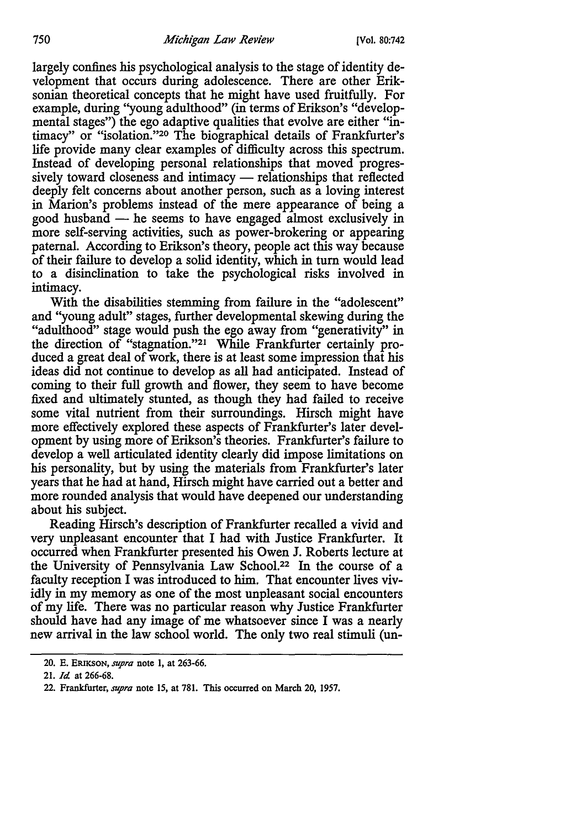largely confines his psychological analysis to the stage of identity development that occurs during adolescence. There are other Eriksonian theoretical concepts that he might have used fruitfully. For example, during ''young adulthood" (in terms of Erikson's "developmental stages") the ego adaptive qualities that evolve are either "intimacy" or "isolation."20 The biographical details of Frankfurter's life provide many clear examples of difficulty across this spectrum. Instead of developing personal relationships that moved progressively toward closeness and intimacy  $-$  relationships that reflected deeply felt concerns about another person, such as a loving interest in Marion's problems instead of the mere appearance of being a good husband  $-$  he seems to have engaged almost exclusively in more self-serving activities, such as power-brokering or appearing paternal. According to Erikson's theory, people act this way because of their failure to develop a solid identity, which in turn would lead to a disinclination to take the psychological risks involved in intimacy.

With the disabilities stemming from failure in the "adolescent" and "young adult" stages, further developmental skewing during the "adulthood" stage would push the ego away from "generativity" in the direction of "stagnation."21 While Frankfurter certainly produced a great deal of work, there is at least some impression that his ideas did not continue to develop as all had anticipated. Instead of coming to their full growth and flower, they seem to have become fixed and ultimately stunted, as though they had failed to receive some vital nutrient from their surroundings. Hirsch might have more effectively explored these aspects of Frankfurter's later development by using more of Erikson's theories. Frankfurter's failure to develop a well articulated identity clearly did impose limitations on his personality, but by using the materials from Frankfurter's later years that he had at hand, Hirsch might have carried out a better and more rounded analysis that would have deepened our understanding about his subject.

Reading Hirsch's description of Frankfurter recalled a vivid and very unpleasant encounter that I had with Justice Frankfurter. It occurred when Frankfurter presented his Owen J. Roberts lecture at the University of Pennsylvania Law School.22 In the course of a faculty reception I was introduced to him. That encounter lives vividly in my memory as one of the most unpleasant social encounters of my life. There was no particular reason why Justice Frankfurter should have had any image of me whatsoever since I was a nearly new arrival in the law school world. The only two real stimuli (un-

<sup>20.</sup> E. ERIKSON, *supra* note 1, at 263-66.

<sup>21.</sup> *Id.* at 266-68.

<sup>22.</sup> Frankfurter, *supra* note 15, at 781. This occurred on March 20, 1957.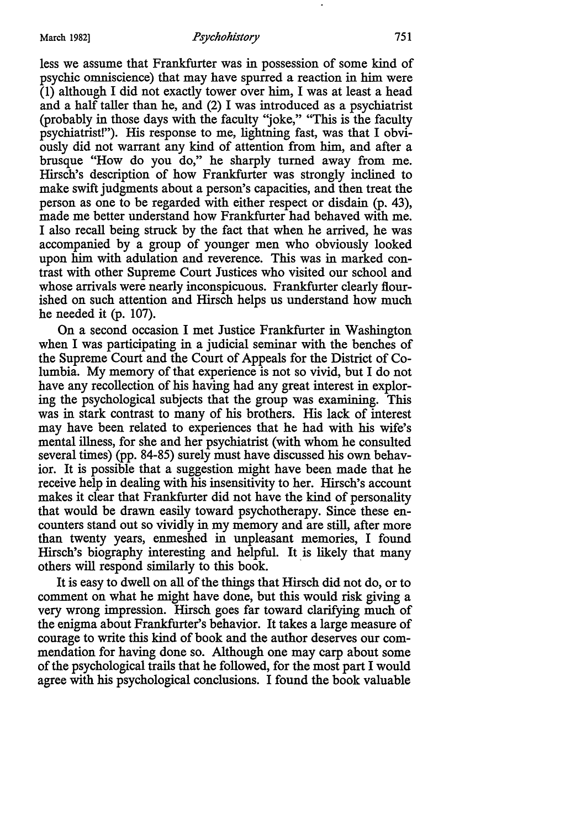less we assume that Frankfurter was in possession of some kind of psychic omniscience) that may have spurred a reaction in him were (1) although I did not exactly tower over him, I was at least a head and a half taller than he, and (2) I was introduced as a psychiatrist (probably in those days with the faculty ')oke," "This is the faculty psychiatrist!"). His response to me, lightning fast, was that I obviously did not warrant any kind of attention from him, and after a brusque "How do you do," he sharply turned away from me. Hirsch's description of how Frankfurter was strongly inclined to make swift judgments about a person's capacities, and then treat the person as one to be regarded with either respect or disdain (p. 43), made me better understand how Frankfurter had behaved with me. I also recall being struck by the fact that when he arrived, he was accompanied by a group of younger men who obviously looked upon him with adulation and reverence. This was in marked contrast with other Supreme Court Justices who visited our school and whose arrivals were nearly inconspicuous. Frankfurter clearly flourished on such attention and Hirsch helps us understand how much he needed it (p. 107).

On a second occasion I met Justice Frankfurter in Washington when I was participating in a judicial seminar with the benches of the Supreme Court and the Court of Appeals for the District of Columbia. My memory of that experience is not so vivid, but I do not have any recollection of his having had any great interest in exploring the psychological subjects that the group was examining. This was in stark contrast to many of his brothers. His lack of interest may have been related to experiences that he had with his wife's mental illness, for she and her psychiatrist (with whom he consulted several times) (pp. 84-85) surely must have discussed his own behavior. It is possible that a suggestion might have been made that he receive help in dealing with his insensitivity to her. Hirsch's account makes it clear that Frankfurter did not have the kind of personality that would be drawn easily toward psychotherapy. Since these encounters stand out so vividly in my memory and are still, after more than twenty years, enmeshed in unpleasant memories, I found Hirsch's biography interesting and helpful. It is likely that many others will respond similarly to this book.

It is easy to dwell on all of the things that Hirsch did not do, or to comment on what he might have done, but this would risk giving a very wrong impression. Hirsch goes far toward clarifying much of the enigma about Frankfurter's behavior. It talces a large measure of courage to write this kind of book and the author deserves our commendation for having done so. Although one may carp about some of the psychological trails that he followed, for the most part I would agree with his psychological conclusions. I found the book valuable